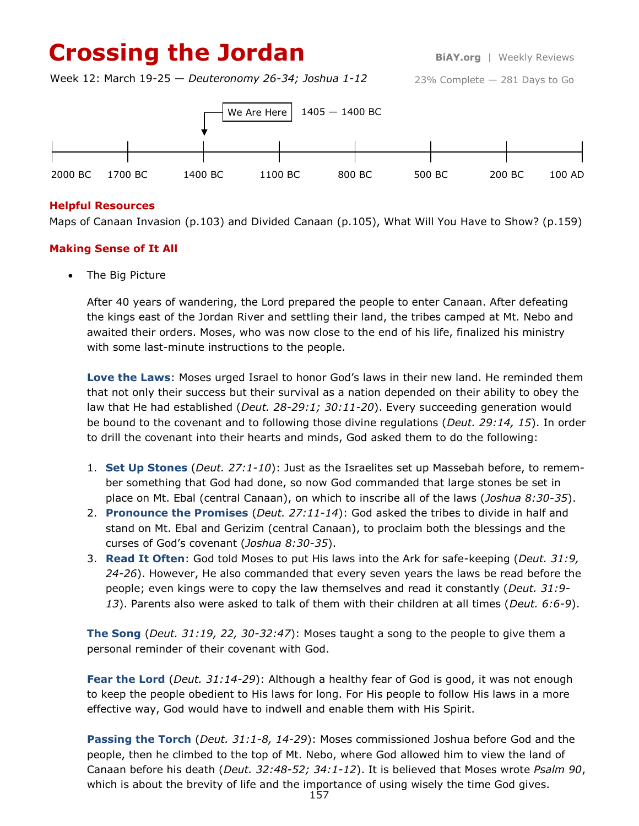## **Crossing the Jordan** BIAY.org | Weekly Reviews

Week 12: March 19-25 — *Deuteronomy 26-34; Joshua 1-12*

23% Complete — 281 Days to Go



#### **Helpful Resources**

Maps of Canaan Invasion (p.103) and Divided Canaan (p.105), What Will You Have to Show? (p.159)

#### **Making Sense of It All**

The Big Picture

After 40 years of wandering, the Lord prepared the people to enter Canaan. After defeating the kings east of the Jordan River and settling their land, the tribes camped at Mt. Nebo and awaited their orders. Moses, who was now close to the end of his life, finalized his ministry with some last-minute instructions to the people.

**Love the Laws**: Moses urged Israel to honor God's laws in their new land. He reminded them that not only their success but their survival as a nation depended on their ability to obey the law that He had established (*Deut. 28-29:1; 30:11-20*). Every succeeding generation would be bound to the covenant and to following those divine regulations (*Deut. 29:14, 15*). In order to drill the covenant into their hearts and minds, God asked them to do the following:

- 1. **Set Up Stones** (*Deut. 27:1-10*): Just as the Israelites set up Massebah before, to remember something that God had done, so now God commanded that large stones be set in place on Mt. Ebal (central Canaan), on which to inscribe all of the laws (*Joshua 8:30-35*).
- 2. **Pronounce the Promises** (*Deut. 27:11-14*): God asked the tribes to divide in half and stand on Mt. Ebal and Gerizim (central Canaan), to proclaim both the blessings and the curses of God's covenant (*Joshua 8:30-35*).
- 3. **Read It Often**: God told Moses to put His laws into the Ark for safe-keeping (*Deut. 31:9, 24-26*). However, He also commanded that every seven years the laws be read before the people; even kings were to copy the law themselves and read it constantly (*Deut. 31:9- 13*). Parents also were asked to talk of them with their children at all times (*Deut. 6:6-9*).

**The Song** (*Deut. 31:19, 22, 30-32:47*): Moses taught a song to the people to give them a personal reminder of their covenant with God.

**Fear the Lord** (*Deut. 31:14-29*): Although a healthy fear of God is good, it was not enough to keep the people obedient to His laws for long. For His people to follow His laws in a more effective way, God would have to indwell and enable them with His Spirit.

**Passing the Torch** (*Deut. 31:1-8, 14-29*): Moses commissioned Joshua before God and the people, then he climbed to the top of Mt. Nebo, where God allowed him to view the land of Canaan before his death (*Deut. 32:48-52; 34:1-12*). It is believed that Moses wrote *Psalm 90*, which is about the brevity of life and the importance of using wisely the time God gives.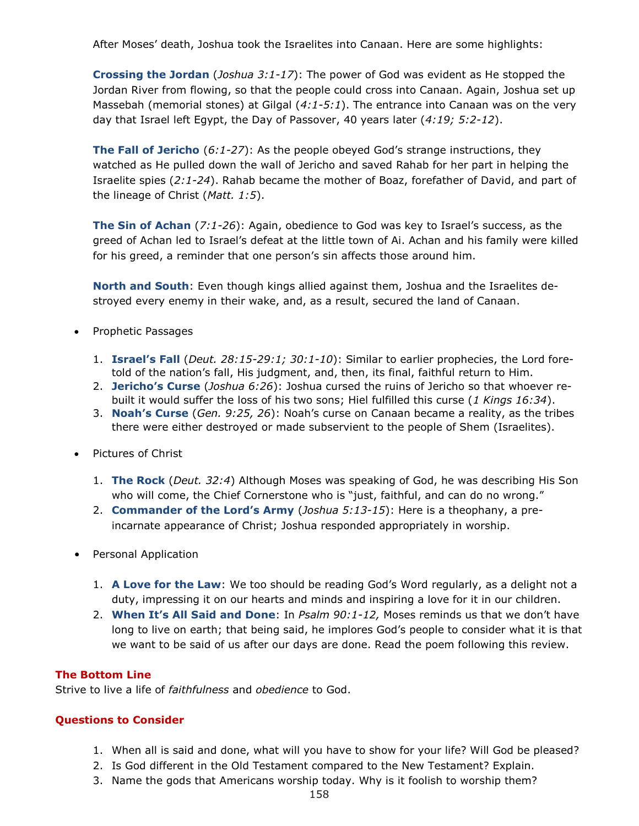After Moses' death, Joshua took the Israelites into Canaan. Here are some highlights:

**Crossing the Jordan** (*Joshua 3:1-17*): The power of God was evident as He stopped the Jordan River from flowing, so that the people could cross into Canaan. Again, Joshua set up Massebah (memorial stones) at Gilgal (*4:1-5:1*). The entrance into Canaan was on the very day that Israel left Egypt, the Day of Passover, 40 years later (*4:19; 5:2-12*).

**The Fall of Jericho** (*6:1-27*): As the people obeyed God's strange instructions, they watched as He pulled down the wall of Jericho and saved Rahab for her part in helping the Israelite spies (*2:1-24*). Rahab became the mother of Boaz, forefather of David, and part of the lineage of Christ (*Matt. 1:5*).

**The Sin of Achan** (*7:1-26*): Again, obedience to God was key to Israel's success, as the greed of Achan led to Israel's defeat at the little town of Ai. Achan and his family were killed for his greed, a reminder that one person's sin affects those around him.

**North and South**: Even though kings allied against them, Joshua and the Israelites destroyed every enemy in their wake, and, as a result, secured the land of Canaan.

- Prophetic Passages
	- 1. **Israel's Fall** (*Deut. 28:15-29:1; 30:1-10*): Similar to earlier prophecies, the Lord foretold of the nation's fall, His judgment, and, then, its final, faithful return to Him.
	- 2. **Jericho's Curse** (*Joshua 6:26*): Joshua cursed the ruins of Jericho so that whoever rebuilt it would suffer the loss of his two sons; Hiel fulfilled this curse (*1 Kings 16:34*).
	- 3. **Noah's Curse** (*Gen. 9:25, 26*): Noah's curse on Canaan became a reality, as the tribes there were either destroyed or made subservient to the people of Shem (Israelites).
- Pictures of Christ
	- 1. **The Rock** (*Deut. 32:4*) Although Moses was speaking of God, he was describing His Son who will come, the Chief Cornerstone who is "just, faithful, and can do no wrong."
	- 2. **Commander of the Lord's Army** (*Joshua 5:13-15*): Here is a theophany, a preincarnate appearance of Christ; Joshua responded appropriately in worship.
- Personal Application
	- 1. **A Love for the Law**: We too should be reading God's Word regularly, as a delight not a duty, impressing it on our hearts and minds and inspiring a love for it in our children.
	- 2. **When It's All Said and Done**: In *Psalm 90:1-12,* Moses reminds us that we don't have long to live on earth; that being said, he implores God's people to consider what it is that we want to be said of us after our days are done. Read the poem following this review.

#### **The Bottom Line**

Strive to live a life of *faithfulness* and *obedience* to God.

#### **Questions to Consider**

- 1. When all is said and done, what will you have to show for your life? Will God be pleased?
- 2. Is God different in the Old Testament compared to the New Testament? Explain.
- 3. Name the gods that Americans worship today. Why is it foolish to worship them?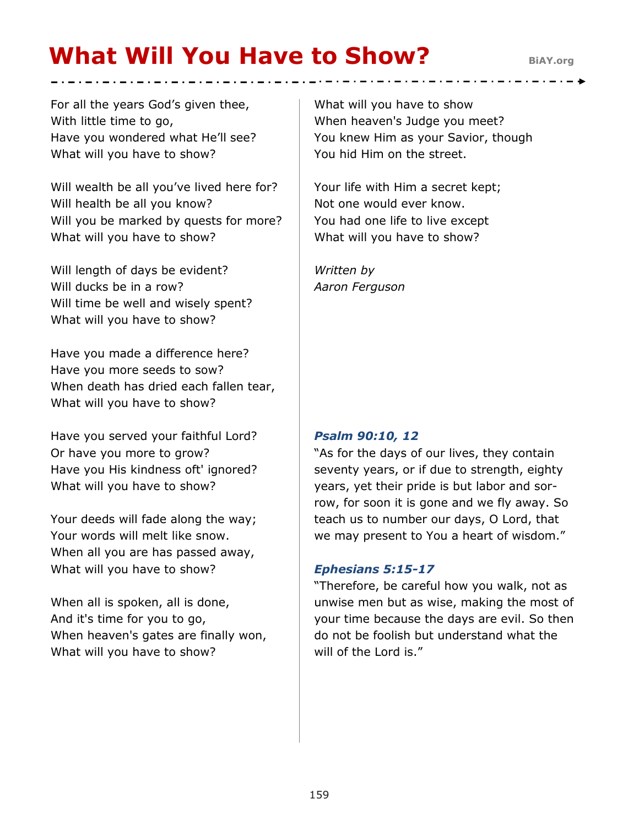# **What Will You Have to Show?** BiAY.org

For all the years God's given thee, With little time to go, Have you wondered what He'll see? What will you have to show?

Will wealth be all you've lived here for? Will health be all you know? Will you be marked by quests for more? What will you have to show?

Will length of days be evident? Will ducks be in a row? Will time be well and wisely spent? What will you have to show?

Have you made a difference here? Have you more seeds to sow? When death has dried each fallen tear, What will you have to show?

Have you served your faithful Lord? Or have you more to grow? Have you His kindness oft' ignored? What will you have to show?

Your deeds will fade along the way; Your words will melt like snow. When all you are has passed away, What will you have to show?

When all is spoken, all is done, And it's time for you to go, When heaven's gates are finally won, What will you have to show?

What will you have to show When heaven's Judge you meet? You knew Him as your Savior, though You hid Him on the street.

Your life with Him a secret kept; Not one would ever know. You had one life to live except What will you have to show?

*Written by Aaron Ferguson*

### *Psalm 90:10, 12*

"As for the days of our lives, they contain seventy years, or if due to strength, eighty years, yet their pride is but labor and sorrow, for soon it is gone and we fly away. So teach us to number our days, O Lord, that we may present to You a heart of wisdom."

#### *Ephesians 5:15-17*

"Therefore, be careful how you walk, not as unwise men but as wise, making the most of your time because the days are evil. So then do not be foolish but understand what the will of the Lord is."